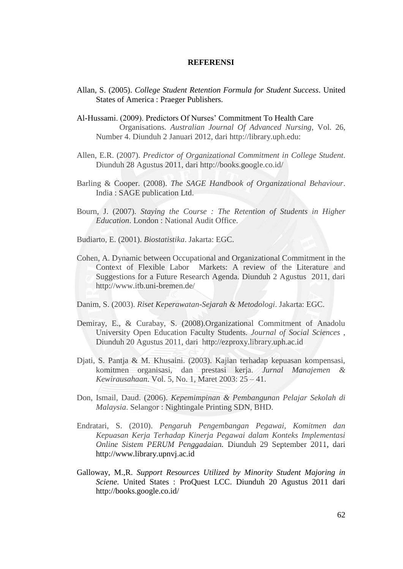## **REFERENSI**

- Allan, S. (2005). *College Student Retention Formula for Student Success*. United States of America : Praeger Publishers.
- Al-Hussami. (2009). Predictors Of Nurses' Commitment To Health Care Organisations*. Australian Journal Of Advanced Nursing*, Vol. 26, Number 4. Diunduh 2 Januari 2012, dari [http://library.uph.edu:](http://library.uph.edu/)
- Allen, E.R. (2007). *Predictor of Organizational Commitment in College Student*. Diunduh 28 Agustus 2011, dari [http://books.google.co.id/](http://books.google.co.id/books?id=sS8liDAhp-sC&printsec=frontcover&dq=Predictor+of+Organizational+Commitment+in+College+Student&hl=en&ei=xfqETvngCITOrQe8oqnlDA&sa=X&oi=book_result&ct=result&resnum=1&ved=0CCoQ6AEwAA#v=onepage&q=Predictor%20of%20Organizational%20Commitment%20in%20College%20Student&f=false)
- Barling & Cooper. (2008). *The SAGE Handbook of Organizational Behaviour*. India : SAGE publication Ltd.
- Bourn, J. (2007). *Staying the Course : The Retention of Students in Higher Education*. London : National Audit Office.
- Budiarto, E. (2001). *Biostatistika*. Jakarta: EGC.
- Cohen, A. Dynamic between Occupational and Organizational Commitment in the Context of Flexible Labor Markets: A review of the Literature and Suggestions for a Future Research Agenda. Diunduh 2 Agustus 2011, dari <http://www.itb.uni-bremen.de/>
- Danim, S. (2003). *Riset Keperawatan-Sejarah & Metodologi*. Jakarta: EGC.
- Demiray, E., & Curabay, S. (2008).Organizational Commitment of Anadolu University Open Education Faculty Students*. Journal of Social Sciences* , Diunduh 20 Agustus 2011, dari [http://ezproxy.library.uph.ac.id](http://ezproxy.library.uph.ac.id/)
- Djati, S. Pantja & M. Khusaini. (2003). Kajian terhadap kepuasan kompensasi, komitmen organisasi, dan prestasi kerja. *Jurnal Manajemen & Kewirausahaan*. Vol. 5, No. 1, Maret 2003: 25 – 41.
- Don, Ismail, Daud. (2006). *Kepemimpinan & Pembangunan Pelajar Sekolah di Malaysia*. Selangor : Nightingale Printing SDN, BHD.
- Endratari, S. (2010). *Pengaruh Pengembangan Pegawai, Komitmen dan Kepuasan Kerja Terhadap Kinerja Pegawai dalam Konteks Implementasi Online Sistem PERUM Penggadaian.* Diunduh 29 September 2011, dari [http://www.library.upnvj.ac.id](http://www.library.upnvj.ac.id/)
- Galloway, M.,R. *Support Resources Utilized by Minority Student Majoring in Sciene*. United States : ProQuest LCC. Diunduh 20 Agustus 2011 dari <http://books.google.co.id/>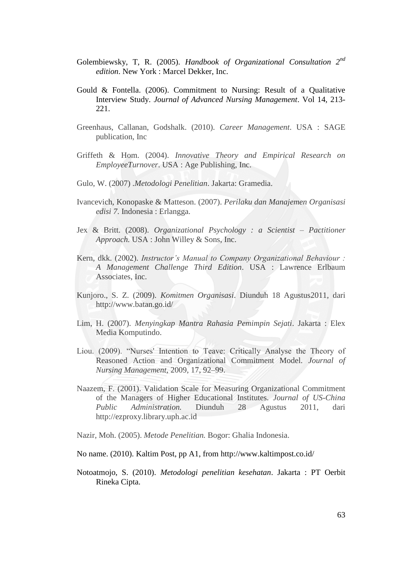- Golembiewsky, T, R. (2005). *Handbook of Organizational Consultation 2nd edition*. New York : Marcel Dekker, Inc.
- Gould & Fontella. (2006). Commitment to Nursing: Result of a Qualitative Interview Study. *Journal of Advanced Nursing Management*. Vol 14, 213- 221.
- Greenhaus, Callanan, Godshalk. (2010). *Career Management*. USA : SAGE publication, Inc
- Griffeth & Hom. (2004). *Innovative Theory and Empirical Research on EmployeeTurnover*. USA : Age Publishing, Inc.
- Gulo, W. (2007) .*Metodologi Penelitian*. Jakarta: Gramedia.
- Ivancevich, Konopaske & Matteson. (2007). *Perilaku dan Manajemen Organisasi edisi 7*. Indonesia : Erlangga.
- Jex & Britt. (2008). *Organizational Psychology : a Scientist – Pactitioner Approach.* USA : John Willey & Sons, Inc.
- Kern, dkk. (2002). *Instructor's Manual to Company Organizational Behaviour : A Management Challenge Third Edition*. USA : Lawrence Erlbaum Associates, Inc.
- Kunjoro., S. Z. (2009). *Komitmen Organisasi*. Diunduh 18 Agustus2011, dari <http://www.batan.go.id/>
- Lim, H. (2007). *Menyingkap Mantra Rahasia Pemimpin Sejati*. Jakarta : Elex Media Komputindo.
- Liou. (2009). "Nurses' Intention to Teave: Critically Analyse the Theory of Reasoned Action and Organizational Commitment Model*. Journal of Nursing Management,* 2009, 17, 92–99.
- Naazem, F. (2001). Validation Scale for Measuring Organizational Commitment of the Managers of Higher Educational Institutes*. Journal of US-China Public Administration.* Diunduh 28 Agustus 2011, dari [http://ezproxy.library.uph.ac.id](http://ezproxy.library.uph.ac.id/)
- Nazir, Moh. (2005). *Metode Penelitian.* Bogor: Ghalia Indonesia.
- No name. (2010). Kaltim Post, pp A1, from<http://www.kaltimpost.co.id/>
- Notoatmojo, S. (2010). *Metodologi penelitian kesehatan*. Jakarta : PT Oerbit Rineka Cipta.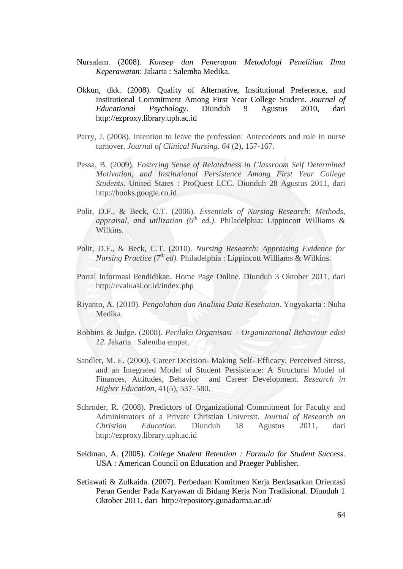- Nursalam. (2008). *Konsep dan Penerapan Metodologi Penelitian Ilmu Keperawatan*: Jakarta : Salemba Medika.
- Okkun, dkk. (2008). Quality of Alternative, Institutional Preference, and institutional Commitment Among First Year College Student. *Journal of Educational Psychology*. Diunduh 9 Agustus 2010, dari [http://ezproxy.library.uph.ac.id](http://ezproxy.library.uph.ac.id/)
- Parry, J. (2008). Intention to leave the profession: Antecedents and role in nurse turnover*. Journal of Clinical Nursing*. *64* (2), 157-167.
- Pessa, B. (2009). *Fostering Sense of Relatedness in Classroom Self Determined Motivation, and Institutional Persistence Among First Year College Students*. United States : ProQuest LCC. Diunduh 28 Agustus 2011, dari [http://books.google.co.id](http://books.google.co.id/)
- Polit, D.F., & Beck, C.T. (2006). *Essentials of Nursing Research: Methods, appraisal, and utilization (6th ed.)*. Philadelphia: Lippincott Williams & Wilkins.
- Polit, D.F., & Beck, C.T. (2010). *Nursing Research: Appraising Evidence for Nursing Practice (7th ed).* Philadelphia : Lippincott Williams & Wilkins.
- Portal Informasi Pendidikan. Home Page Online. Diunduh 3 Oktober 2011, dari <http://evaluasi.or.id/index.php>
- Riyanto, A. (2010). *Pengolahan dan Analisia Data Kesehatan*. Yogyakarta : Nuha Medika.
- Robbins & Judge. (2008). *Perilaku Organisasi – Organizational Behaviour edisi 12.* Jakarta : Salemba empat.
- Sandler, M. E. (2000). Career Decision- Making Self- Efficacy, Perceived Stress, and an Integrated Model of Student Persistence: A Structural Model of Finances, Attitudes, Behavior and Career Development. *Research in Higher Education,* 41(5), 537–580.
- Schroder, R. (2008). Predictors of Organizational Commitment for Faculty and Administrators of a Private Christian Universit*. Journal of Research on Christian Education.* Diunduh 18 Agustus 2011, dari [http://ezproxy.library.uph.ac.id](http://ezproxy.library.uph.ac.id/)
- Seidman, A. (2005). *College Student Retention : Formula for Student Success*. USA : American Council on Education and Praeger Publisher.
- Setiawati & Zulkaida. (2007). Perbedaan Komitmen Kerja Berdasarkan Orientasi Peran Gender Pada Karyawan di Bidang Kerja Non Tradisional. Diunduh 1 Oktober 2011, dari [http://repository.gunadarma.ac.id/](http://repository.gunadarma.ac.id/145/1/Devi_Anita___komitmen_kerja.pdf)